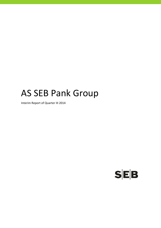# AS SEB Pank Group

Interim Report of Quarter III 2014

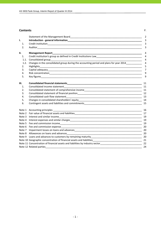### **Contents** P.

|                | Statement of the Management Board Management of the Management of the Management Board                                       | $\overline{2}$ |
|----------------|------------------------------------------------------------------------------------------------------------------------------|----------------|
| ı.             |                                                                                                                              | 3              |
| $\mathbf{1}$ . |                                                                                                                              | 3              |
| 2.             |                                                                                                                              | 3              |
| ΙΙ.            |                                                                                                                              | 4              |
| 1.             | Credit institution's group as defined in Credit Institutions Law<br><u>Law and an announ and an announ and an announ and</u> | $\overline{4}$ |
| 1.1.           |                                                                                                                              | $\overline{4}$ |
| 1.2.           | Changes in the consolidated group during the accounting period and plans for year 2014                                       | $\overline{4}$ |
| 2.             | Highlights                                                                                                                   | 5              |
| 3.             |                                                                                                                              | 7              |
| 4.             |                                                                                                                              | 9              |
| 5.             |                                                                                                                              | 9              |
| Ш.             |                                                                                                                              | 11             |
| 1.             |                                                                                                                              | 11             |
| 2.             |                                                                                                                              |                |
| 3.             |                                                                                                                              |                |
| 4.             |                                                                                                                              |                |
| 5.             |                                                                                                                              |                |
| 6.             |                                                                                                                              | 15             |
| Note 1         |                                                                                                                              | 16             |
| Note 2         |                                                                                                                              |                |
| Note 3         |                                                                                                                              |                |
|                |                                                                                                                              |                |
|                |                                                                                                                              | 19             |
|                |                                                                                                                              | 20             |
| Note 7         |                                                                                                                              | 20             |
|                |                                                                                                                              | 20             |
|                |                                                                                                                              |                |
|                |                                                                                                                              |                |
|                | Note 11 Concentration of financial assets and liabilities by industry sector_________________________________                | 22             |
|                |                                                                                                                              | 24             |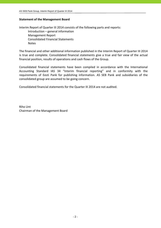# **Statement of the Management Board**

Interim Report of Quarter III 2014 consists of the following parts and reports: Introduction – general information Management Report Consolidated Financial Statements Notes

The financial and other additional information published in the Interim Report of Quarter III 2014 is true and complete. Consolidated financial statements give a true and fair view of the actual financial position, results of operations and cash flows of the Group.

Consolidated financial statements have been compiled in accordance with the International Accounting Standard IAS 34 "Interim financial reporting" and in conformity with the requirements of Eesti Pank for publishing information. AS SEB Pank and subsidiaries of the consolidated group are assumed to be going concern.

Consolidated financial statements for the Quarter III 2014 are not audited.

Riho Unt Chairman of the Management Board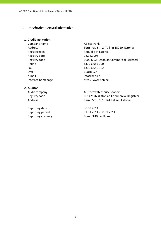#### **I. Introduction ‐ general information**

## **1. Credit institution**

Company name AS SEB Pank Registry date 08.12.1995 Phone +372 6 655 100 Fax +372 6 655 102 SWIFT EEUHEE2X e-mail info@seb.ee

Address Tornimäe Str. 2, Tallinn 15010, Estonia Registered in The Republic of Estonia Registry code 10004252 (Estonian Commercial Register) Internet homepage http://www.seb.ee

# **2. Auditor**

Reporting date 30.09.2014

Audit company **AS PricewaterhouseCoopers** Registry code 10142876 (Estonian Commercial Register) Address **Pärnu Str. 15, 10141 Tallinn, Estonia** 

Reporting period 01.01.2014 ‐ 30.09.2014 Reporting currency **EUR** Euro (EUR), millions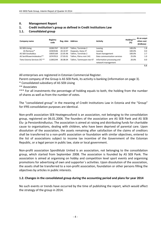# **II. Management Report**

**1. Credit institution's group as defined in Credit Institutions Law**

# **1.1. Consolidated group**

| Company name                 | Registry<br>code | Reg. date | <b>Address</b>            | <b>Activity</b>                                  | Holding***<br>(%) | At an acqui-<br>sition cost<br>(EURmio) |
|------------------------------|------------------|-----------|---------------------------|--------------------------------------------------|-------------------|-----------------------------------------|
| AS SEB Liising               | 10281767         | 03.10.97  | Tallinn. Tornimäe 2       | Leasing                                          | 100.0%            | 1.8                                     |
| AS Rentacar*                 | 10303546         | 20.10.97  | Haapsalu, Karja 27        | Leasing                                          | 100.0%            | 0.0                                     |
| <b>AS SEB Varahaldus</b>     | 10035169         | 22.05.96  | Tallinn. Tornimäe 2       | Asset management                                 | 100.0%            | 2.7                                     |
| AS Sertifitseerimiskeskus**  | 10747013         | 27.03.01  | Tallinn. Pärnu mnt 141    | Data communication services                      | 25.0%             | 1.0                                     |
| Tieto Estonia Services OÜ ** | 11065244         | 30.08.04  | Tallinn. Tammsaare tee 47 | Information processing and<br>network management | 20.0%             | 0.0                                     |
|                              |                  |           |                           |                                                  |                   | 5.5                                     |

All enterprises are registered in Estonian Commercial Register.

Parent company of the Group is AS SEB Pank, its activity is banking (information on page 3).

\* Consolidated subsidiary of AS SEB Liising

\*\* Associates

\*\*\* For all investments the percentage of holding equals to both, the holding from the number of shares as well as from the number of votes.

The "consolidated group" in the meaning of Credit Institutions Law in Estonia and the "Group" for IFRS consolidation purposes are identical.

Non‐profit association SEB Heategevusfond is an association, not belonging to the consolidation group, registered on 06.01.2006. The founders of the association are AS SEB Pank and AS SEB Elu‐ ja Pensionikindlustus. The association is aimed at raising and distributing funds for charitable cause to organisations, dealing with children, who have been deprived of parental care. Upon dissolution of the association, the assets remaining after satisfaction of the claims of creditors shall be transferred to a non‐profit association or foundation with similar objectives, entered to the list of associations subject to income tax incentive of the Government of the Estonian Republic, or a legal person in public law, state or local government.

Non‐profit association Spordiklubi United is an association, not belonging to the consolidation group, which started from September 2008. The association is founded by AS SEB Pank. The association is aimed at organising on hobby and competition level sport events and organising promotions for advertising of own and supporter´s activities. Upon dissolution of the association, the assets shall be transferred to a non‐profit association, foundation or other persons filling the objectives by articles in public interests.

# **1.2. Changes in the consolidated group during the accounting period and plans for year 2014**

No such events or trends have occurred by the time of publishing the report, which would affect the strategy of the group in 2014.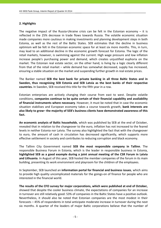# **2. Highlights**

The negative impact of the Russia-Ukraine crisis can be felt in the Estonian economy  $-$  it is reflected in the 25% decrease in trade flows towards Russia. The volatile economic situation made companies more cautious in making investments and planning development steps in both Estonia, as well as the rest of the Baltic States. SEB estimates that the decline in business optimism will be felt in the Estonian economic space for at least six more months. This, in turn, may lead to an additional decline in the economic growth forecast for Estonia. The logic of the retail markets, however, is swimming against the current. High wage pressure and low inflation increase people's purchasing power and demand, which creates unjustified euphoria on the market. The Estonian real estate sector, on the other hand, is living by a logic clearly different from that of the retail market – while demand has somewhat decreased, supply has increased, ensuring a stable situation on the market and suspending further growth in real estate prices.

The Banker named **SEB the best bank for private banking in all three Baltic States and in Sweden, thus recognising SEB Estonia and SEB Latvia as the best banks of their respective countries.** In Sweden, SEB received this title for the fifth year in a row.

Estonian enterprises are actively changing their course from east to west. Despite volatile conditions, **companies continue to be quite certain of their financial capability and availability of financial instruments where necessary**. However, it must be noted that in case the economic situation stabilises and European economy takes a course towards growth, **bank interests are also likely to grow– the majority of SEB's business clients have demonstrated awareness of this fact.**

**An economic analysis of Baltic households**, which was published by SEB at the end of October, revealed that in relation to the changeover to the euro, inflation has not increased to the feared levels in neither Estonia nor Latvia. The survey also highlighted the fact that with the changeover to euro, the amount of cash in circulation has decreased significantly, which supports more effective settlement in society and contributes to reducing corruption and black economy.

The Tallinn City Government named **SEB the most responsible company in Tallinn**. The responsible Business Forum in Estonia, which is the leader in responsible business in Estonia, **highlighted SEB as a good example during a joint annual meeting of the CSR Forum in Latvia and Lithuania**. In August of this year, SEB hosted the member companies of the forum in its main building, presenting its work environment and playroom for the children of the employees.

In September, SEB launched an **information portal for financial and business issues**, which aims to provide high quality uncomplicated materials for the goings‐on of finance for people who are interested in the financial world.

**The results of the CFO survey for major corporations, which were published at end of October,** showed that despite the cooler business climate, the expectations of companies for an increase in turnover are still relatively good: 53% of companies in the Baltic States have a positive outlook. Nevertheless, it should also be noted that Estonian companies are the most modest in their forecasts – 45% of respondents in total anticipate moderate increase in turnover during the next six months. A quarter of the leaders of major Baltic corporations believe that the number of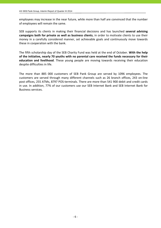employees may increase in the near future, while more than half are convinced that the number of employees will remain the same.

SEB supports its clients in making their financial decisions and has launched **several advising campaigns both for private as well as business clients**, in order to motivate clients to use their money in a carefully considered manner, set achievable goals and continuously move towards these in cooperation with the bank.

The fifth scholarship day of the SEB Charity Fund was held at the end of October. **With the help of the initiative, nearly 70 youths with no parental care received the funds necessary for their education and livelihood**. These young people are moving towards receiving their education despite difficulties in life.

The more than 885 000 customers of SEB Pank Group are served by 1096 employees. The customers are served through many different channels such as 26 branch offices, 243 on‐line post offices, 255 ATMs, 8797 POS‐terminals. There are more than 541 900 debit and credit cards in use. In addition, 77% of our customers use our SEB Internet Bank and SEB Internet Bank for Business services.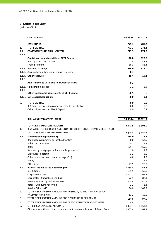## **3. Capital adequacy**

|                | <b>CAPITAL BASE</b>                                                               | 30.09.14         | 31.12.13         |
|----------------|-----------------------------------------------------------------------------------|------------------|------------------|
|                | <b>OWN FUNDS</b>                                                                  | 779.3            | 780.2            |
| 1.             | <b>TIER 1 CAPITAL</b>                                                             | 773.3            | 774.2            |
| 1.1.<br>1.1.1. | <b>COMMON EQUITY TIER 1 CAPITAL</b>                                               | 773.3            | 774.2            |
|                | Capital instruments eligible as CET1 Capital                                      | 128.8            | 128.8            |
|                | Paid up capital instruments                                                       | 42.5             | 42.5             |
|                | Share premium                                                                     | 86.3             | 86.3             |
|                | 1.1.2. Retained earnings                                                          | 626.0            | 627.0            |
|                | 1.1.3. Accumulated other comprehensive income                                     | 0.7              |                  |
| 1.1.5.         | 1.1.4. Other reserves                                                             | 19.4             | 19.4             |
|                | Adjustments to CET1 due to prudential filters                                     | $-0.1$           |                  |
| 1.1.7.         | 1.1.6. (-) Intangible assets                                                      | $-1.2$           | $-0.9$           |
|                | Other transitional adjustments to CET1 Capital                                    | $-0.3$           |                  |
|                | 1.1.8. CET1 capital deductions                                                    | 0.0              | -0.1             |
| 2.             | <b>TIER 2 CAPITAL</b>                                                             | 6.0              | 6.0              |
|                | IRB Excess of provisions over expected losses eligible                            | 6.0              | 5.8              |
|                | Other adjustments to Tier 2 Capital                                               | 0.0              | 0.2              |
|                |                                                                                   |                  |                  |
|                | RISK WEIGHTED ASSETS (RWA)                                                        | 30.09.14         | 31.12.13         |
|                | <b>TOTAL RISK EXPOSURE AMOUNT</b>                                                 | 3 4 4 1.5        | 3 3 0 3 .0       |
| 1.             | RISK WEIGHTED EXPOSURE AMOUNTS FOR CREDIT, COUNTERPARTY CREDIT AND                |                  |                  |
|                | DILUTION RISKS AND FREE DELIVERIES                                                |                  | 2 0 2 8.2        |
|                |                                                                                   | 2 001.3<br>218.0 | 273.6            |
| 1.1.           | <b>Standardised approach (SA)</b>                                                 | 0.0              | 62.5             |
|                | Regional governments or local authorities<br>Public sector entities               | 0.7              | 1.7              |
|                | Retail                                                                            | 179.7            | 169.6            |
|                | Secured by mortgages on immovable property                                        | 1.0              | 1.2 <sub>2</sub> |
|                | Exposures in default                                                              | 3.2              | 5.0              |
|                | Collective investments undertakings (CIU)                                         | 4.8              | 4.5              |
|                | Equity                                                                            | 1.1              | 1.1              |
|                | Other items                                                                       | 27.5             | 28.0             |
| 1.2.           | <b>Internal ratings based Approach (IRB)</b>                                      | 1783.3           | 1754.6           |
|                | Institutions                                                                      | 131.9            | 60.0             |
|                | Corporates - SME                                                                  | 1 247.7          | 1 2 6 1 . 2      |
|                | Corporates - Specialised Lending                                                  | 72.1             | 87.3             |
|                | Retail - Secured by real estate SME                                               | 243.4            | 240.5            |
|                | Retail - Qualifying revolving                                                     | 2.2              | 2.3              |
|                | Retail - Other SME                                                                | 86.0             | 103.3            |
| 2.             | TOTAL RISK EXPOSURE AMOUNT FOR POSITION, FOREIGN EXCHANGE AND                     |                  |                  |
| 3.             | <b>COMMODITIES RISKS</b><br>TOTAL RISK EXPOSURE AMOUNT FOR OPERATIONAL RISK (AMA) | 13.2<br>114.8    | 15.6<br>97.0     |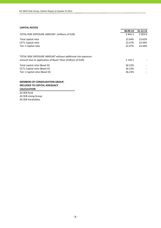#### **CAPITAL RATIOS**

|                                                              | 30.09.14    | 31.12.13   |
|--------------------------------------------------------------|-------------|------------|
| TOTAL RISK EXPOSURE AMOUNT (millions of EUR)                 | 3 4 4 1.5   | 3 3 0 3 .0 |
| Total capital ratio                                          | 22.64%      | 23.62%     |
| <b>CET1 Capital ratio</b>                                    | 22.47%      | 23.44%     |
| Tier 1 Capital ratio                                         | 22.47%      | 23.44%     |
| TOTAL RISK EXPOSURE AMOUNT without additional risk exposure  |             |            |
| amount due to application of Basel I floor (millions of EUR) | 2 1 3 4 . 1 |            |
| Total capital ratio (Basel III)                              | 36.52%      |            |
| CET1 Capital ratio (Basel III)                               | 36.23%      |            |
| Tier 1 Capital ratio (Basel III)                             | 36.23%      |            |

# **MEMBERS OF CONSOLIDATION GROUP, INCLUDED TO CAPITAL ADEQUACY CALCULATION**

AS SEB Pank AS SEB Liising Group AS SEB Varahaldus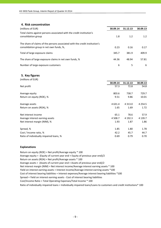#### **4. Risk concentration**

| (millions of EUR)                                                                                                       | 30.09.14 | 31.12.13 | 30.09.13 |
|-------------------------------------------------------------------------------------------------------------------------|----------|----------|----------|
| Total claims against persons associated with the credit institution's<br>consolidation group                            | 1.8      | 1.2      | 1.2      |
| The share of claims of the persons associated with the credit institution's<br>consolidation group in net own funds, %, | 0.23     | 0.16     | 0.17     |
| Total of large exposure claims                                                                                          | 345.7    | 381.9    | 409.9    |
| The share of large exposure claims in net own funds, %                                                                  | 44.36    | 48.94    | 57.81    |
| Number of large exposure customers                                                                                      | 6        | 5        | 6        |

**5. Key figures**

| (millions of EUR)                       |             |            |             |
|-----------------------------------------|-------------|------------|-------------|
|                                         | 30.09.14    | 31.12.13   | 30.09.13    |
| Net profit                              | 57.3        | 72.8       | 54.8        |
| Average equity                          | 803.6       | 738.7      | 729.7       |
| Return on equity (ROE), %               | 9.51        | 9.86       | 10.01       |
| Average assets                          | 4 6 3 1 . 4 | 4 3 1 3 .0 | 4 2 5 4 .5  |
| Return on assets (ROA), %               | 1.65        | 1.69       | 1.72        |
| Net interest income                     | 65.1        | 78.6       | 57.9        |
| Average interest earning assets         | 4 508.7     | 4 192.3    | 4 1 3 9 . 7 |
| Net interest margin (NIM), %            | 1.93        | 1.87       | 1.86        |
| Spread, %                               | 1.85        | 1.80       | 1.78        |
| Cost / Income ratio, %                  | 42.2        | 45.7       | 44.7        |
| Ratio of individually impaired loans, % | 0.69        | 0.79       | 0.70        |

### **Explanations**

Return on equity (ROE) = Net profit/Average equity \* 100 Average equity = (Equity of current year end + Equity of previous year end)/2 Return on assets (ROA) = Net profit/Average assets \* 100 Average assets = (Assets of current year end + Assets of previous year end)/2 Cost of interest bearing liabilities = Interest expenses/Average interest bearing liabilities \*100 Cost/Income Ratio = Total Operating Expenses/Total Income \* 100 Spread = Yield on interest earning assets ‐ Cost of interest bearing liabilities Ratio of individually impaired loans = Individually impaired loans/Loans to customers and credit institutions\* 100 Net interest margin (NIM) = Net interest income/Average interest earning assets \* 100 Yield on interest earning assets = Interest income/Average interest earning assets \*100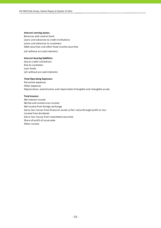#### **Interest earning assets:**

Balances with central bank Loans and advances to credit institutions Loans and advances to customers Debt securities and other fixed income securities

(all without accrued interests)

#### **Interest bearing liabilities:**

Due to credit institutions Due to customers Loan funds (all without accrued interests)

#### **Total Operating Expenses:**

Personnel expenses Other expenses Depreciation, amortisation and impairment of tangible and intangible assets

#### **Total Income:**

Net interest income Net fee and commission income Net income from foreign exchange Gains less losses from financial assets at fair value through profit or loss Income from dividends Gains less losses from investment securities Share of profit of associates Other income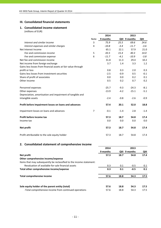# **III. Consolidated financial statements**

# **1. Consolidated income statement**

(millions of EUR)

|                                                               |                | 2014     |        | 2013          |        |
|---------------------------------------------------------------|----------------|----------|--------|---------------|--------|
|                                                               | Note           | 9 months |        | QIII 9 months | QIII   |
| Interest and similar income                                   | 3              | 75.9     | 25.5   | 69.6          | 24.6   |
| Interest expenses and similar charges                         | 4              | $-10.8$  | $-3.4$ | $-11.7$       | $-3.6$ |
| Net Interest Income                                           |                | 65.1     | 22.1   | 57.9          | 21.0   |
| Fee and commission income                                     | 5              | 43.5     | 15.4   | 40.3          | 14.0   |
| Fee and commission expense                                    | 6              | $-11.7$  | $-4.1$ | $-10.9$       | $-3.8$ |
| Net fee and commission income                                 |                | 31.8     | 11.3   | 29.4          | 10.2   |
| Net income from foreign exchange                              |                | 3.7      | 1.4    | 3.3           | 1.2    |
| Gains less losses from financial assets at fair value through |                |          |        |               |        |
| profit or loss                                                |                | 0.8      | 0.3    | 2.0           | 0.3    |
| Gains less losses from investment securities                  |                | $-2.5$   | $-0.9$ | 0.5           | $-0.1$ |
| Share of profit of associates                                 |                | 0.0      | 0.0    | 0.2           | 0.1    |
| Other income                                                  |                | 0.5      | 0.2    | 0.7           | 0.2    |
| Personnel expenses                                            |                | $-25.7$  | $-9.3$ | $-24.3$       | $-8.1$ |
| Other expenses                                                |                | $-13.9$  | $-4.2$ | $-15.1$       | $-5.1$ |
| Depreciation, amortisation and impairment of tangible and     |                |          |        |               |        |
| intangible assets                                             |                | $-2.4$   | $-0.8$ | $-2.6$        | $-0.9$ |
| Profit before impairment losses on loans and advances         |                | 57.4     | 20.1   | 52.0          | 18.8   |
| Impairment losses on loans and advances                       | $\overline{7}$ | $-0.1$   | $-1.4$ | 2.8           | $-1.4$ |
| Profit before income tax                                      |                | 57.3     | 18.7   | 54.8          | 17.4   |
| Income tax                                                    |                | 0.0      | 0.0    | 0.0           | 0.0    |
| Net profit                                                    |                | 57.3     | 18.7   | 54.8          | 17.4   |
| Profit attributable to the sole equity holder                 |                | 57.3     | 18.7   | 54.8          | 17.4   |

# **2. Consolidated statement of comprehensive income**

|                                                                      | 2014     |      | 2013          |      |
|----------------------------------------------------------------------|----------|------|---------------|------|
|                                                                      | 9 months |      | QIII 9 months | QIII |
| Net profit                                                           | 57.3     | 18.7 | 54.8          | 17.4 |
| Other comprehensive income/expense                                   |          |      |               |      |
| Items that may subsequently be reclassified to the income statement: |          |      |               |      |
| Revaluation of available-for-sale financial assets                   | 0.3      | 0.1  | $-0.5$        | 0.1  |
| Total other comprehensive income/expense                             | 0.3      | 0.1  | $-0.5$        | 0.1  |
| Total comprehensive income                                           | 57.6     | 18.8 | 54.3          | 17.5 |
| Sole equity holder of the parent entity (total)                      | 57.6     | 18.8 | 54.3          | 17.5 |
| -Total comprehensive income from continued operations                | 57.6     | 18.8 | 54.3          | 17.5 |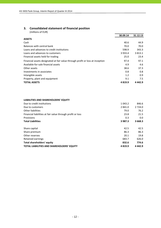# **3. Consolidated statement of financial position**

|                                                                               | 30.09.14    | 31.12.13    |
|-------------------------------------------------------------------------------|-------------|-------------|
| <b>ASSETS</b>                                                                 |             |             |
| Cash                                                                          | 40.6        | 44.9        |
| Balances with central bank                                                    | 70.0        | 70.0        |
| Loans and advances to credit institutions                                     | 598.9       | 343.3       |
| Loans and advances to customers                                               | 3 9 3 3 . 4 | 3 8 1 3 . 1 |
| Financial assets held for trading                                             | 25.0        | 23.4        |
| Financial assets designated at fair value through profit or loss at inception | 97.4        | 97.1        |
| Available-for-sale financial assets                                           | 4.9         | 4.6         |
| Other assets                                                                  | 38.6        | 37.3        |
| Investments in associates                                                     | 0.8         | 0.8         |
| Intangible assets                                                             | 1.2         | 0.9         |
| Property, plant and equipment                                                 | 9.1         | 7.5         |
| <b>TOTAL ASSETS</b>                                                           | 4819.9      | 4 4 4 2 . 9 |

| <b>LIABILITIES AND SHAREHOLDERS' EQUITY</b> |  |
|---------------------------------------------|--|
|---------------------------------------------|--|

| Due to credit institutions                                 | 1 0 4 3 . 2 | 846.6      |
|------------------------------------------------------------|-------------|------------|
| Due to customers                                           | 2 841.0     | 2 7 2 4 .0 |
| Other liabilities                                          | 79.0        | 76.2       |
| Financial liabilities at fair value through profit or loss | 23.8        | 21.5       |
| Provisions                                                 | 0.3         | 0.0        |
| <b>Total Liabilities</b>                                   | 3 9 8 7 . 3 | 3 668.3    |
|                                                            |             |            |
| Share capital                                              | 42.5        | 42.5       |
| Share premium                                              | 86.3        | 86.3       |
| Other reserves                                             | 20.1        | 19.8       |
| Retained earnings                                          | 683.7       | 626.0      |
| <b>Total shareholders' equity</b>                          | 832.6       | 774.6      |
| <b>TOTAL LIABILITIES AND SHAREHOLDERS' EQUITY</b>          | 4819.9      | 4442.9     |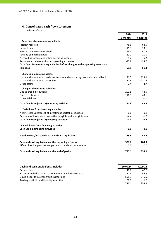# **4. Consolidated cash flow statement**

|                                                                                 | 2014     | 2013     |
|---------------------------------------------------------------------------------|----------|----------|
|                                                                                 | 9 months | 9 months |
| I. Cash flows from operating activities                                         |          |          |
| Interest received                                                               | 75.6     | 68.9     |
| Interest paid                                                                   | $-11.3$  | $-13.6$  |
| Fee and commission received                                                     | 43.5     | 40.3     |
| Fee and commission paid                                                         | $-11.7$  | $-10.9$  |
| Net trading income and other operating income                                   | 1.7      | 5.2      |
| Personnel expenses and other operating expenses                                 | $-37.9$  | $-38.6$  |
| Cash flows from operating activities before changes in the operating assets and |          |          |
| <b>liabilities</b>                                                              | 59.9     | 51.3     |
| <b>Changes in operating assets:</b>                                             |          |          |
| Loans and advances to credit institutions and mandatory reserve in central bank | 21.5     | 123.1    |
| Loans and advances to customers                                                 | $-120.6$ | $-220.7$ |
| Other assets                                                                    | $-2.4$   | 4.7      |
| <b>Changes of operating liabilities:</b>                                        |          |          |
| Due to credit institutions                                                      | 201.5    | 48.5     |
| Due to customers                                                                | 116.9    | 43.6     |
| <b>Other liabilities</b>                                                        | 1.1      | $-1.0$   |
| Cash flow from (used in) operating activities                                   | 277.9    | 49.5     |
| II. Cash flows from investing activities                                        |          |          |
| Net increase-/decrease+ of investment portfolio securities                      | 0.0      | 0.8      |
| Purchase of investment properties, tangible and intangible assets               | $-4.4$   | $-1.5$   |
| Cash flow from (used in) investing activities                                   | $-4.4$   | $-0.7$   |
| III. Cash flows from financing activities                                       |          |          |
| Cash used in financing activities                                               | 0.0      | 0.0      |
|                                                                                 |          |          |
| Net decrease/increase in cash and cash equivalents                              | 273.5    | 48.8     |
| Cash and cash equivalents at the beginning of period                            | 501.6    | 284.3    |
| Effect of exchange rate changes on cash and cash equivalents                    | 0.0      | 0.0      |
| Cash and cash equivalents at the end of period                                  | 775.1    | 333.1    |

| Cash and cash equivalents includes:                      | 30.09.14 | 30.09.13 |
|----------------------------------------------------------|----------|----------|
| Cash on hand                                             | 40.6     | 42.8     |
| Balances with the central bank without mandatory reserve | 37.5     | 42.3     |
| Liquid deposits in other credit institutions             | 598.3    | 246.5    |
| Trading portfolio and liquidity securities               | 98.7     | 1.5      |
|                                                          | 775.1    | 333.1    |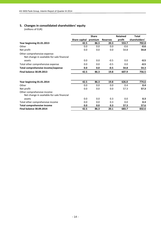# **5. Changes in consolidated shareholders' equity**

|                                                                            |               | <b>Share</b> |                 | <b>Retained</b> | <b>Total</b>  |
|----------------------------------------------------------------------------|---------------|--------------|-----------------|-----------------|---------------|
|                                                                            | Share capital | premium      | <b>Reserves</b> | profit          | shareholders' |
| Year beginning 01.01.2013                                                  | 42.5          | 86.3         | 20.3            | 553.7           | 702.8         |
| Other                                                                      | 0.0           | 0.0          | 0.0             | $-0.6$          | $-0.6$        |
| Net profit                                                                 | 0.0           | 0.0          | 0.0             | 54.8            | 54.8          |
| Other comprehensive expense:<br>Net change in available-for-sale financial |               |              |                 |                 |               |
| assets                                                                     | 0.0           | 0.0          | $-0.5$          | 0.0             | $-0.5$        |
| Total other comprehensive expense                                          | 0.0           | 0.0          | $-0.5$          | 0.0             | $-0.5$        |
| Total comprehensive income/expense                                         | 0.0           | 0.0          | $-0.5$          | 54.8            | 54.3          |
| <b>Final balance 30.09.2013</b>                                            | 42.5          | 86.3         | 19.8            | 607.9           | 756.5         |
| Year beginning 01.01.2014                                                  | 42.5          | 86.3         | 19.8            | 626.0           | 774.6         |
| Other                                                                      | 0.0           | 0.0          | 0.0             | 0.4             | 0.4           |
| Net profit                                                                 | 0.0           | 0.0          | 0.0             | 57.3            | 57.3          |
| Other comprehensive income:<br>Net change in available-for-sale financial  |               |              |                 |                 |               |
| assets                                                                     | 0.0           | 0.0          | 0.3             | 0.0             | 0.3           |
| Total other comprehensive income                                           | 0.0           | 0.0          | 0.3             | 0.0             | 0.3           |
| <b>Total comprehensive income</b>                                          | 0.0           | 0.0          | 0.3             | 57.3            | 57.6          |
| <b>Final balance 30.09.2014</b>                                            | 42.5          | 86.3         | 20.1            | 683.7           | 832.6         |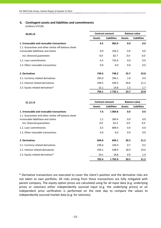# **6. Contingent assets and liabilities and commitments**

(millions of EUR)

| 30.09.14                                                                                   | <b>Contract amount</b> |                    | <b>Balance value</b> |                    |  |
|--------------------------------------------------------------------------------------------|------------------------|--------------------|----------------------|--------------------|--|
|                                                                                            | <b>Assets</b>          | <b>Liabilities</b> | <b>Assets</b>        | <b>Liabilities</b> |  |
| 1. Irrevocable and revocable transactions                                                  | 6.5                    | 983.9              | 0.0                  | 0.0                |  |
| 1.1. Guarantees and other similar off-balance sheet<br>irrovocable liabilitieas and claims | 0.0                    | 250.3              | 0.0                  | 0.0                |  |
| incl. financial quarantees                                                                 | 0.0                    | 82.7               | 0.0                  | 0.0                |  |
| 1.2. Loan commitments                                                                      | 6.5                    | 733.6              | 0.0                  | 0.0                |  |
| 1.3. Other revocable transactions                                                          | 0.0                    | 0.0                | 0.0                  | 0.0                |  |
| 2. Derivatives                                                                             | 749.6                  | 748.2              | 23.7                 | 23.8               |  |
| 2.1. Currency related derivatives                                                          | 295.0                  | 294.1              | 1.8                  | 0.9                |  |
| 2.2. Interest related derivatives                                                          | 439.5                  | 439.3              | 20.6                 | 21.2               |  |
| 2.3. Equity related derivatives*                                                           | 15.1                   | 14.8               | 1.3                  | 1.7                |  |
|                                                                                            | 756.1                  | 1732.1             | 23.7                 | 23.8               |  |

| 31.12.13                                            | <b>Contract amount</b> |                    | <b>Balance value</b> |                    |  |
|-----------------------------------------------------|------------------------|--------------------|----------------------|--------------------|--|
|                                                     | <b>Assets</b>          | <b>Liabilities</b> | <b>Assets</b>        | <b>Liabilities</b> |  |
| 1. Irrevocable and revocable transactions           | 7.6                    | 1 0 69.8           | 0.0                  | 0.0                |  |
| 1.1. Guarantees and other similar off-balance sheet |                        |                    |                      |                    |  |
| irrovocable liabilitieas and claims                 | 1.1                    | 260.4              | 0.0                  | 0.0                |  |
| incl. financial guarantees                          | 0.0                    | 65.3               | 0.0                  | 0.0                |  |
| 1.2. Loan commitments                               | 6.5                    | 809.4              | 0.0                  | 0.0                |  |
| 1.3. Other revocable transactions                   | 0.0                    | 0.0                | 0.0                  | 0.0                |  |
| 2. Derivatives                                      | 694.8                  | 694.1              | 20.5                 | 21.5               |  |
| 2.1. Currency related derivatives                   | 236.6                  | 236.4              | 0.7                  | 0.5                |  |
| 2.2. Interest related derivatives                   | 439.1                  | 438.9              | 18.9                 | 19.6               |  |
| 2.3. Equity related derivatives*                    | 19.1                   | 18.8               | 0.9                  | 1.4                |  |
|                                                     | 702.4                  | 1763.9             | 20.5                 | 21.5               |  |

\* Derivative transactions are executed to cover the client's position and the derivative risks are not taken to own portfolio. All risks arising from these transactions are fully mitigated with parent company. The equity option prices are calculated using for all input data (e.g. underlying prices or volumes) either independently sourced input (e.g. the underlying prices) or an independent price verification is performed on the next day to compare the values to independently sourced market data (e.g. for volumes).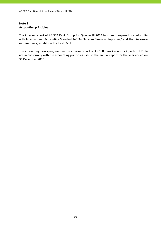# **Note 1 Accounting principles**

The interim report of AS SEB Pank Group for Quarter III 2014 has been prepared in conformity with International Accounting Standard IAS 34 "Interim Financial Reporting" and the disclosure requirements, established by Eesti Pank.

The accounting principles, used in the interim report of AS SEB Pank Group for Quarter III 2014 are in conformity with the accounting principles used in the annual report for the year ended on 31 December 2013.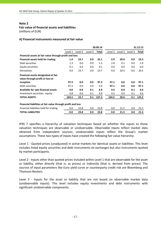# **Note 2 Fair value of financial assets and liabilities**

(millions of EUR)

# **A) Financial instruments measured at fair value**

|                                                                        | 30.09.14 |         |         |              |         |         | 31.12.13 |       |
|------------------------------------------------------------------------|----------|---------|---------|--------------|---------|---------|----------|-------|
|                                                                        | Level 1  | Level 2 | Level 3 | <b>Total</b> | Level 1 | Level 2 | Level 3  | Total |
| Financial assets at fair value through profit and loss                 |          |         |         |              |         |         |          |       |
| <b>Financial assets held for trading</b>                               | 1.4      | 23.7    | 0.0     | 25.1         | 2.9     | 20.6    | 0.0      | 23.5  |
| Debt securities                                                        | 1.3      | 0.0     | 0.0     | 1.3          | 2.8     | 0.1     | 0.0      | 2.9   |
| Equity securities                                                      | 0.1      | 0.0     | 0.0     | 0.1          | 0.0     | 0.0     | 0.0      | 0.0   |
| Derivatives                                                            | 0.0      | 23.7    | 0.0     | 23.7         | 0.0     | 20.5    | 0.0      | 20.5  |
| Financial assets designated at fair<br>value through profit or loss at |          |         |         |              |         |         |          |       |
| inception                                                              | 97.3     | 0.0     | 0.0     | 97.3         | 97.1    | 0.0     | 0.0      | 97.1  |
| Debt securities                                                        | 97.3     | 0.0     | 0.0     | 4.9          | 97.1    | 0.0     | 0.0      | 97.1  |
| Available for sale financial assets                                    | 4.8      | 0.0     | 0.1     | 4.9          | 4.5     | 0.0     | 0.1      | 4.6   |
| Investment securities - equity                                         | 4.8      | 0.0     | 0.1     | 4.9          | 4.5     | 0.0     | 0.1      | 4.6   |
| <b>TOTAL ASSETS</b>                                                    | 103.5    | 23.7    | 0.1     | 127.3        | 104.5   | 20.6    | 0.1      | 125.2 |
| Financial liabilities at fair value through profit and loss            |          |         |         |              |         |         |          |       |
| Financial liabilities held for trading                                 | 0.0      | 23.8    | 0.0     | 23.8         | 0.0     | 21.5    | 0.0      | 21.5  |
| <b>TOTAL LIABILITIES</b>                                               | 0.0      | 23.8    | 0.0     | 23.8         | 0.0     | 21.5    | 0.0      | 21.5  |

IFRS 7 specifies a hierarchy of valuation techniques based on whether the inputs to those valuation techniques are observable or unobservable. Observable inputs reflect market data obtained from independent sources; unobservable inputs reflect the Group's market assumptions. These two types of inputs have created the following fair value hierarchy:

Level 1 - Quoted prices (unadjusted) in active markets for identical assets or liabilities. This level includes listed equity securities and debt instruments on exchanges but also instruments quoted by market participants.

Level 2 - Inputs other than quoted prices included within Level 1 that are observable for the asset or liability, either directly (that is, as prices) or indirectly (that is, derived from prices). The sources of input parameters like Euro yield curve or counterparty credit risk are Bloomberg and Thomson Reuters.

Level 3 - Inputs for the asset or liability that are not based on observable market data (unobservable inputs). This level includes equity investments and debt instruments with significant unobservable components.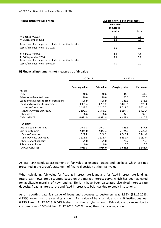| <b>Reconciliation of Level 3 Items</b>                                                            | Available-for-sale financial assets  |            |
|---------------------------------------------------------------------------------------------------|--------------------------------------|------------|
|                                                                                                   | Investment<br>securities -<br>equity | Total      |
| At 1 January 2013<br>At 31 December 2013                                                          | 0.1<br>0.1                           | 0.1<br>0.1 |
| Total losses for the period included in profit or loss for<br>assets/liabilities held at 31.12.13 | 0.0                                  | 0.0        |
| At 1 January 2014<br>At 30 September 2014                                                         | 0.1<br>0.1                           | 0.1<br>0.1 |
| Total losses for the period included in profit or loss for<br>assets/liabilities held at 30.09.14 | 0.0                                  | 0.0        |

## **B) Financial instruments not measured at fair value**

|                                           | 30.09.14              |                   | 31.12.13              |                   |
|-------------------------------------------|-----------------------|-------------------|-----------------------|-------------------|
|                                           | <b>Carrying value</b> | <b>Fair value</b> | <b>Carrying value</b> | <b>Fair value</b> |
| <b>ASSETS</b>                             |                       |                   |                       |                   |
| Cash                                      | 40.6                  | 40.6              | 44.9                  | 44.9              |
| Balances with central bank                | 70.0                  | 70.0              | 70.0                  | 70.0              |
| Loans and advances to credit institutions | 598.9                 | 598.9             | 343.3                 | 343.3             |
| Loans and advances to customers           | 3 9 3 3 . 4           | 3783.2            | 3813.1                | 3 6 2 5 . 1       |
| Loans to Corporates                       | 2038.5                | 2020.0            | 2013.1                | 2001.8            |
| Loans to Private individuals              | 1894.9                | 1 763.2           | 1800.0                | 1623.2            |
| Other assets                              | 38.6                  | 38.6              | 37.3                  | 37.3              |
| <b>TOTAL ASSETS</b>                       | 4681.5                | 4 5 3 1 . 3       | 4 308.6               | 4 1 2 0 . 6       |
| <b>LIABILITIES</b>                        |                       |                   |                       |                   |
| Due to credit institutions                | 1 0 4 3 . 3           | 1041.7            | 846.6                 | 847.1             |
| Due to customers                          | 2 841.0               | 2843.3            | 2 7 2 4 .0            | 2 7 2 3 . 4       |
| Due to Corporates                         | 1522.7                | 1524.6            | 1 542.5               | 1541.8            |
| Due to Private Individuals                | 1 3 1 8 . 3           | 1 318.7           | 1 181.5               | 1 181.6           |
| Other financial liabilities               | 79.0                  | 79.0              | 76.2                  | 76.2              |
| Subordinated loans                        | 0.0                   | 0.0               | 0.0                   | 0.0               |
| <b>TOTAL LIABILITIES</b>                  | 3 963.3               | 3964.0            | 3646.8                | 3 646.7           |

AS SEB Pank conducts assessment of fair value of financial assets and liabilities which are not presented in the Group's statement of financial position at their fair value.

When calculating fair value for floating interest rate loans and for fixed-interest rate lending, future cash flows are discounted based on the market interest curve, which has been adjusted for applicable margins of new lending. Similarly have been calculated also fixed-interest rate deposits, floating interest rate and fixed‐interest rate balances due to credit institutions.

As of reporting date fair value of loans and advances to customers was 3.82% (31.12.2013: 4.93%) lower than the carrying amount. Fair value of balances due to credit institutions was 0.15% lower (31.12.2013: 0.06% higher) than the carrying amount. Fair value of balances due to customers was 0.08% higher (31.12.2013: 0.02% lower) than the carrying amount.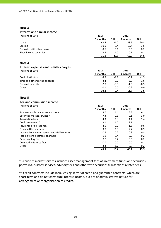#### **Note 3**

## **Interest and similar income**

| (millions of EUR)         | 2014     |      | 2013     |                  |
|---------------------------|----------|------|----------|------------------|
|                           | 9 months | QIII | 9 months | QIII             |
| Loans                     | 62.5     | 21.0 | 58.5     | 20.8             |
| Leasing                   | 10.0     | 3.4  | 10.4     | 3.5              |
| Deposits with other banks | 0.6      | 0.1  | 0.6      | 0.2 <sub>0</sub> |
| Fixed income securities   | 2.8      | 1.0  | 0.1      | 0.1              |
|                           | 75.9     | 25.5 | 69.6     | 24.6             |

## **Note 4**

#### **Interest expenses and similar charges** (millions of EUR) **2014 2013**

|                                | 9 months | OIII   | 9 months | QIII   |
|--------------------------------|----------|--------|----------|--------|
| Credit institutions            | $-5.5$   | $-1.8$ | $-5.2$   | $-1.5$ |
| Time and other saving deposits | $-2.4$   | $-0.7$ | $-5.0$   | $-1.6$ |
| Demand deposits                | $-2.8$   | $-0.9$ | $-1.3$   | $-0.5$ |
| Other                          | $-0.1$   | 0.0    | $-0.2$   | 0.0    |
|                                | $-10.8$  | -3.4   | $-11.7$  | -3.6   |

#### **Note 5**

## **Fee and commission income**

| (millions of EUR)                             | 2014     |      | 2013     |        |
|-----------------------------------------------|----------|------|----------|--------|
|                                               | 9 months | QIII | 9 months | QIII   |
| Payment cards related commissions             | 18.0     | 6.4  | 16.5     | 6.1    |
| Securities market services *                  | 7.3      | 2.3  | 9.1      | 3.0    |
| <b>Transaction fees</b>                       | 4.3      | 1.5  | 4.1      | 1.4    |
| Credit contracts**                            | 3.1      | 1.0  | 3.1      | 1.1    |
| Insurance brokerage fees                      | 2.0      | 0.7  | 1.6      | 0.6    |
| Other settlement fees                         | 3.0      | 1.0  | 2.7      | 0.9    |
| Income from leasing agreements (full service) | 0.7      | 0.2  | 0.9      | 0.3    |
| Income from electronic channels               | 1.1      | 0.4  | 0.9      | 0.2    |
| Cash handling fees                            | 0.7      | 0.2  | 0.5      | 0.2    |
| Commodity futures fees                        | 0.0      | 0.0  | 0.0      | $-0.1$ |
| Other                                         | 3.3      | 1.7  | 0.8      | 0.2    |
|                                               | 43.5     | 15.4 | 40.2     | 13.9   |

\* Securities market services includes asset management fees of investment funds and securities portfolios, custody services, advisory fees and other with securities transactions related fees.

\*\* Credit contracts include loan, leasing, letter of credit and guarantee contracts, which are short-term and do not constitute interest income, but are of administrative nature for arrangement or reorganisation of credits.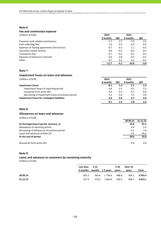#### **Note 6**

### **Fee and commission expense**

(millions of EUR) **2014 2013**

|                                               | 9 months | QIII   | 9 months | QIII   |
|-----------------------------------------------|----------|--------|----------|--------|
| Payment cards related commissions             | $-7.7$   | $-2.7$ | $-7.0$   | $-2.5$ |
| Cash collecting fees                          | $-1.0$   | $-0.4$ | $-0.9$   | $-0.3$ |
| Expenses to leasing agreements (full service) | $-0.7$   | $-0.3$ | $-1.1$   | $-0.3$ |
| Securities market services                    | $-0.9$   | $-0.3$ | $-0.9$   | $-0.3$ |
| <b>Transaction fees</b>                       | $-0.7$   | $-0.2$ | $-0.5$   | $-0.2$ |
| Expenses of electronic channels               | 0.0      | 0.0    | $-0.3$   | $-0.1$ |
| Other                                         | $-0.7$   | $-0.2$ | $-0.2$   | $-0.1$ |
|                                               | $-11.7$  | -4.1   | $-10.9$  | $-3.8$ |

## **Note 7**

#### **Impairment losses on loans and advances**

(millions of EUR) **2014 2013**

|                                                    | 9 months | QIII   | 9 months | QIII    |
|----------------------------------------------------|----------|--------|----------|---------|
| Impairment losses                                  | -0.1     | $-1.4$ | 2.1      | $-1.4$  |
| impairment losses of reporting period              | $-4.8$   | $-2.4$ | $-4.1$   | $-2.2$  |
| recoveries from write-offs                         | 0.4      | 0.1    | 0.7      | $0.0\,$ |
| decreasing of impairment losses of previous period | 4.3      | 0.9    | 5.5      | 0.8     |
| Impairment losses for contingent liabilities       | 0.0      | 0.0    | 0.7      | 0.0     |
|                                                    | -0.1     | -1.4   | 2.8      | $-1.4$  |

# **Note 8**

### **Allowances on loans and advances**

(millions of EUR)

|                                             | 30.09.14 | 31.12.13 |
|---------------------------------------------|----------|----------|
| At the beginning of period (January, 1)     | 53.8     | 91.2     |
| Allowances of reporting period              | 4.8      | 5.4      |
| Decreasing of allowances of previous period | $-4.1$   | $-7.6$   |
| Loans and advances written off              | $-5.5$   | $-35.2$  |
| At the end of period                        | 49.0     | 53.8     |
| Recoveries from write-offs                  | 0.4      | 0.9      |

## **Note 9**

#### **Loans and advances to customers by remaining maturity**

|          | Less than $3-12$          |       |              | $5 - 10$ | Over 10 |             |
|----------|---------------------------|-------|--------------|----------|---------|-------------|
|          | 3 months months 1-5 years |       |              | vears    | vears   | Total       |
| 30.09.14 | 302.3                     |       | 569.6 1736.6 | 488.8    | 836.1   | 3 9 3 3 . 4 |
| 31.12.13 | 227.9                     | 579.6 | 1 663.0      | 505.9    | 836.7   | 3813.1      |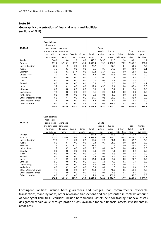# **Note 10 Geographic concentration of financial assets and liabilities** (millions of EUR)

| 30.09.14             | Cash, balances<br>with central<br>bank, loans<br>and advances<br>to credit<br>institutions | Loans and<br>advances<br>to custo-<br>mers | Securi-<br>ties | Other<br>assets | Total<br>assets | Due to<br>credit<br>institu-<br>tions | Due to<br>custo-<br>mers | Other<br>liabili-ties | Total<br>liabili-<br>ties | Contin-<br>gent<br>liabilities |
|----------------------|--------------------------------------------------------------------------------------------|--------------------------------------------|-----------------|-----------------|-----------------|---------------------------------------|--------------------------|-----------------------|---------------------------|--------------------------------|
| Sweden               | 544.0                                                                                      | 0.6                                        | 2.8             | 0.8             | 548.2           | 965.7                                 | 11.5                     | 22.0                  | 999.2                     | 1.4                            |
| Estonia              | 111.2                                                                                      | 3 9 1 3 . 1                                | 27.9            | 43.2            | 4 0 9 5.4       | 13.1                                  | 2 4 6 6.9                | 78.2                  | 2 5 5 8.2                 | 966.7                          |
| United Kingdom       | 22.2                                                                                       | 1.5                                        | 0.0             | 0.0             | 23.7            | 1.4                                   | 62.8                     | 0.4                   | 64.6                      | 1.5                            |
| Russia               | 3.3                                                                                        | 0.3                                        | 0.0             | 0.0             | 3.6             | 0.7                                   | 34.2                     | 0.0                   | 34.9                      | 0.1                            |
| Germany              | 1.9                                                                                        | 0.1                                        | 97.4            | 0.0             | 99.4            | 11.4                                  | 1.9                      | 0.0                   | 13.3                      | 5.0                            |
| <b>United States</b> | 1.0                                                                                        | 0.2                                        | 0.0             | 0.0             | 1.2             | 0.4                                   | 40.5                     | 0.0                   | 40.9                      | 0.0                            |
| Canada               | 0.0                                                                                        | 0.0                                        | 0.0             | 0.0             | 0.0             | 0.1                                   | 2.3                      | 0.0                   | 2.4                       | 0.0                            |
| Japan                | 0.0                                                                                        | 0.0                                        | 0.0             | 0.0             | 0.0             | 0.0                                   | 0.3                      | 0.0                   | 0.3                       | 0.0                            |
| Finland              | 0.0                                                                                        | 0.8                                        | 0.0             | 0.1             | 0.9             | 1.7                                   | 9.0                      | 0.0                   | 10.7                      | 4.7                            |
| Latvia               | 3.2                                                                                        | 9.1                                        | 0.0             | 0.0             | 12.3            | 45.5                                  | 2.4                      | 0.0                   | 47.9                      | 0.5                            |
| Lithuania            | 6.6                                                                                        | 0.0                                        | 0.0             | 0.0             | 6.6             | 1.6                                   | 5.7                      | 0.1                   | 7.4                       | 0.0                            |
| Luxembourg           | 7.8                                                                                        | 0.0                                        | 0.0             | 0.3             | 8.1             | 0.7                                   | 0.1                      | 0.0                   | 0.8                       | 0.0                            |
| Netherlands          | 0.0                                                                                        | 0.0                                        | 0.0             | 0.0             | 0.0             | 0.0                                   | 0.8                      | 0.0                   | 0.8                       | 0.0                            |
| Other Western Europe | 6.9                                                                                        | 7.4                                        | 0.0             | 0.2             | 14.5            | 0.9                                   | 30.0                     | 0.1                   | 31.0                      | 1.5                            |
| Other Eastern Europe | 1.4                                                                                        | 0.0                                        | 0.0             | 0.0             | 1.4             | 0.0                                   | 6.4                      | 0.0                   | 6.4                       | 0.0                            |
| Other countries      | 0.0                                                                                        | 0.3                                        | 0.0             | 4.3             | 4.6             | 0.0                                   | 166.2                    | 2.3                   | 168.5                     | 2.5                            |
|                      | 709.5                                                                                      | 3933.4                                     | 128.1           | 48.9            | 4 8 1 9.9       | 1 043.2                               | 2 841.0                  | 103.1                 | 3 987.3                   | 983.9                          |

|                      | Cash, balances |           |         |        |             |          |            |              |          |             |
|----------------------|----------------|-----------|---------|--------|-------------|----------|------------|--------------|----------|-------------|
|                      | with central   |           |         |        |             |          |            |              |          |             |
| 31.12.13             | bank, loans    | Loans and |         |        |             | Due to   |            |              |          |             |
|                      | and advances   | advances  |         |        |             | credit   | Due to     |              | Total    | Contin-     |
|                      | to credit      | to custo- | Securi- | Other  | Total       | institu- | custo-     | Other        | liabili- | gent        |
|                      | institutions   | mers      | ties    | assets | assets      | tions    | mers       | liabili-ties | ties     | liabilities |
| Sweden               | 287.1          | 1.1       | 2.1     | 4.1    | 294.4       | 785.1    | 10.6       | 23.3         | 819.0    | 1.5         |
| Estonia              | 115.0          | 3 790.4   | 26.6    | 25.9   | 3 9 5 7 . 9 | 10.9     | 2 3 7 3 .0 | 60.3         | 2 444.2  | 1052.7      |
| United Kingdom       | 17.8           | 1.7       | 0.0     | 0.1    | 19.6        | 2.3      | 30.1       | 0.3          | 32.7     | 1.6         |
| Russia               | 8.9            | 0.4       | 0.0     | 0.0    | 9.3         | 0.7      | 28.2       | 0.0          | 28.9     | 0.0         |
| Germany              | 1.5            | 0.1       | 97.1    | 0.0    | 98.7        | 18.7     | 2.6        | 0.0          | 21.3     | 6.4         |
| <b>United States</b> | 1.7            | 0.5       | 0.0     | 0.0    | 2.2         | 0.0      | 44.3       | 0.0          | 44.3     | 0.0         |
| Canada               | 0.0            | 0.0       | 0.0     | 0.0    | 0.0         | 0.1      | 4.1        | 0.0          | 4.2      | 0.0         |
| Japan                | 0.0            | 0.0       | 0.0     | 0.0    | 0.0         | 0.0      | 0.3        | 0.0          | 0.3      | 0.0         |
| Finland              | 0.0            | 0.6       | 0.0     | 3.9    | 4.5         | 0.0      | 8.4        | 3.9          | 12.3     | 4.7         |
| Latvia               | 4.3            | 9.5       | 0.0     | 0.2    | 14.0        | 26.0     | 3.7        | 0.0          | 29.7     | 0.5         |
| Lithuania            | 5.2            | 0.0       | 0.0     | 0.3    | 5.5         | 1.0      | 4.2        | 0.1          | 5.3      | 0.0         |
| Luxembourg           | 5.4            | 0.0       | 0.0     | 0.3    | 5.7         | 0.6      | 0.1        | 0.0          | 0.7      | 0.0         |
| <b>Netherlands</b>   | 0.0            | 0.3       | 0.0     | 0.0    | 0.3         | 0.0      | 1.8        | 0.0          | 1.8      | 0.0         |
| Other Western Europe | 7.3            | 8.0       | 0.1     | 8.4    | 23.8        | 1.1      | 48.7       | 8.5          | 58.3     | 1.6         |
| Other Eastern Europe | 4.0            | 0.0       | 0.0     | 0.1    | 4.1         | 0.0      | 4.5        | 0.1          | 4.6      | 0.0         |
| Other countries      | 0.0            | 0.5       | 0.0     | 2.4    | 2.9         | 0.1      | 159.4      | 1.2          | 160.7    | 0.8         |
|                      | 458.2          | 3813.1    | 125.9   | 45.7   | 4 4 4 2.9   | 846.6    | 2 7 2 4 .0 | 97.7         | 3 668.3  | 1 0 69.8    |

Contingent liabilities include here guarantees and pledges, loan commitments, revocable transactions, stand‐by loans, other revocable transactions and are presented in contract amount of contingent liabilities. Securities include here financial assets held for trading, financial assets designated at fair value through profit or loss, available‐for‐sale financial assets, investments in associates.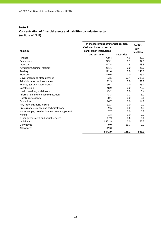# **Note 11 Concentration of financial assets and liabilities by industry sector** (millions of EUR)

| In the statement of financial position       |                           |                   |                    |
|----------------------------------------------|---------------------------|-------------------|--------------------|
|                                              | Cash and loans to central |                   | Contin-<br>gent    |
| 30.09.14                                     | bank, credit institutions |                   | <b>liabilities</b> |
|                                              | and customers             | <b>Securities</b> |                    |
| Finance                                      | 730.4                     | 4.9               | 20.3               |
| Real estate                                  | 729.1                     | 0.1               | 32.8               |
| Industry                                     | 317.4                     | 1.3               | 173.8              |
| Agriculture, fishing, forestry               | 211.1                     | 0.0               | 21.0               |
| Trading                                      | 171.4                     | 0.0               | 148.9              |
| Transport                                    | 170.6                     | 0.0               | 39.4               |
| Government and state defence                 | 93.5                      | 97.4              | 215.6              |
| Administration and assistance                | 92.9                      | 0.0               | 59.8               |
| Energy, gas and steam plants                 | 90.1                      | 0.0               | 75.1               |
| Construction                                 | 48.9                      | 0.0               | 75.0               |
| Health services, social work                 | 45.2                      | 0.0               | 6.4                |
| Information and telecommunication            | 43.3                      | 0.1               | 6.2                |
| Hotels, restaurants                          | 30.1                      | 0.0               | 0.6                |
| Education                                    | 16.7                      | 0.0               | 14.7               |
| Art, show business, leisure                  | 12.3                      | 0.0               | 2.2                |
| Professional, science and technical work     | 9.6                       | 0.0               | 4.0                |
| Water supply, canalisation, waste management | 7.7                       | 0.0               | 6.2                |
| Mining                                       | 1.8                       | 0.0               | 0.2                |
| Other government and social services         | 17.9                      | 0.6               | 6.4                |
| <b>Individuals</b>                           | 1851.9                    | 0.0               | 75.3               |
| Derivatives                                  | 0.0                       | 23.7              | 0.0                |
| Allowances                                   | $-49.0$                   |                   |                    |
|                                              | 4642.9                    | 128.1             | 983.9              |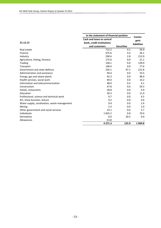|                                              | In the statement of financial position |                   |                    |  |
|----------------------------------------------|----------------------------------------|-------------------|--------------------|--|
|                                              | Cash and loans to central              |                   | Contin-<br>gent    |  |
| 31.12.13                                     | bank, credit institutions              |                   | <b>liabilities</b> |  |
|                                              | and customers                          | <b>Securities</b> |                    |  |
| Real estate                                  | 712.2                                  | 0.1               | 56.9               |  |
| Finance                                      | 475.6                                  | 4.4               | 26.1               |  |
| Industry                                     | 290.6                                  | 2.8               | 213.9              |  |
| Agriculture, fishing, forestry               | 175.6                                  | 0.0               | 21.1               |  |
| Trading                                      | 158.1                                  | 0.0               | 139.9              |  |
| Transport                                    | 148.4                                  | 0.0               | 77.6               |  |
| Government and state defence                 | 105.1                                  | 97.1              | 221.8              |  |
| Administration and assistance                | 94.4                                   | 0.0               | 33.5               |  |
| Energy, gas and steam plants                 | 92.3                                   | 0.0               | 98.9               |  |
| Health services, social work                 | 49.4                                   | 0.0               | 14.2               |  |
| Information and telecommunication            | 48.0                                   | 0.4               | 6.1                |  |
| Construction                                 | 47.8                                   | 0.0               | 59.3               |  |
| Hotels, restaurants                          | 28.8                                   | 0.0               | 0.9                |  |
| Education                                    | 20.3                                   | 0.0               | 11.0               |  |
| Professional, science and technical work     | 9.7                                    | 0.0               | 4.5                |  |
| Art, show business, leisure                  | 9.2                                    | 0.0               | 4.6                |  |
| Water supply, canalisation, waste management | 9.0                                    | 0.0               | 2.4                |  |
| Mining                                       | 2.3                                    | 0.0               | 1.0                |  |
| Other government and social services         | 23.1                                   | 0.6               | 5.7                |  |
| Individuals                                  | 1825.2                                 | 0.0               | 70.4               |  |
| Derivatives                                  | 0.0                                    | 20.5              | 0.0                |  |
| Allowances                                   | $-53.8$                                |                   |                    |  |
|                                              | 4 2 7 1 . 3                            | 125.9             | 1 0 6 9.8          |  |